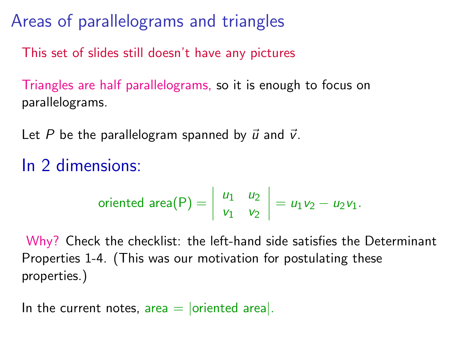Areas of parallelograms and triangles

This set of slides still doesn't have any pictures

Triangles are half parallelograms, so it is enough to focus on parallelograms.

Let P be the parallelogram spanned by  $\vec{u}$  and  $\vec{v}$ .

## In 2 dimensions:

oriented area(P) = 
$$
\begin{vmatrix} u_1 & u_2 \\ v_1 & v_2 \end{vmatrix}
$$
 =  $u_1v_2 - u_2v_1$ .

Why? Check the checklist: the left-hand side satisfies the Determinant Properties 1-4. (This was our motivation for postulating these properties.)

In the current notes,  $area = |oriented \ area|$ .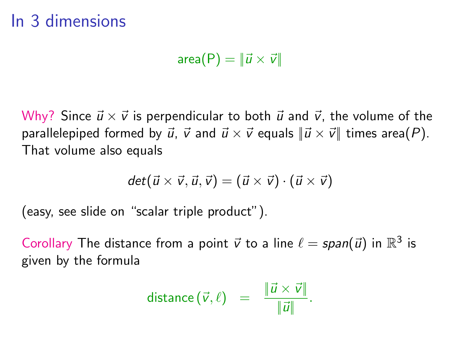area $(P) = ||\vec{u} \times \vec{v}||$ 

Why? Since  $\vec{u} \times \vec{v}$  is perpendicular to both  $\vec{u}$  and  $\vec{v}$ , the volume of the parallelepiped formed by  $\vec{u}$ ,  $\vec{v}$  and  $\vec{u} \times \vec{v}$  equals  $\|\vec{u} \times \vec{v}\|$  times area(P). That volume also equals

$$
det(\vec{u} \times \vec{v}, \vec{u}, \vec{v}) = (\vec{u} \times \vec{v}) \cdot (\vec{u} \times \vec{v})
$$

(easy, see slide on "scalar triple product").

Corollary The distance from a point  $\vec{v}$  to a line  $\ell = span(\vec{u})$  in  $\mathbb{R}^3$  is given by the formula

distance 
$$
(\vec{v}, \ell)
$$
 =  $\frac{\|\vec{u} \times \vec{v}\|}{\|\vec{u}\|}$ .